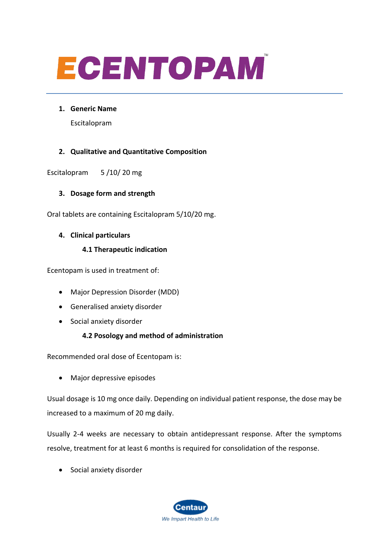# ECENTOPAM

**1. Generic Name** 

Escitalopram

## **2. Qualitative and Quantitative Composition**

Escitalopram 5 /10/ 20 mg

## **3. Dosage form and strength**

Oral tablets are containing Escitalopram 5/10/20 mg.

## **4. Clinical particulars**

## **4.1 Therapeutic indication**

Ecentopam is used in treatment of:

- Major Depression Disorder (MDD)
- Generalised anxiety disorder
- Social anxiety disorder

## **4.2 Posology and method of administration**

Recommended oral dose of Ecentopam is:

• Major depressive episodes

Usual dosage is 10 mg once daily. Depending on individual patient response, the dose may be increased to a maximum of 20 mg daily.

Usually 2-4 weeks are necessary to obtain antidepressant response. After the symptoms resolve, treatment for at least 6 months is required for consolidation of the response.

• Social anxiety disorder

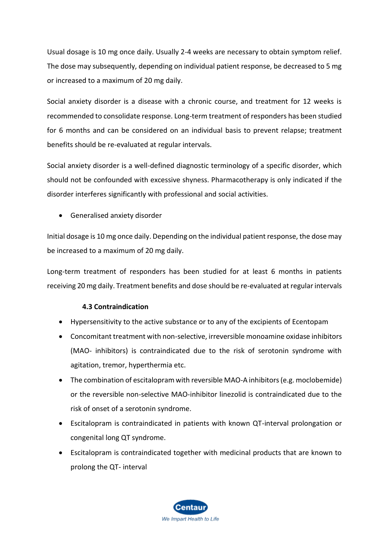Usual dosage is 10 mg once daily. Usually 2-4 weeks are necessary to obtain symptom relief. The dose may subsequently, depending on individual patient response, be decreased to 5 mg or increased to a maximum of 20 mg daily.

Social anxiety disorder is a disease with a chronic course, and treatment for 12 weeks is recommended to consolidate response. Long-term treatment of responders has been studied for 6 months and can be considered on an individual basis to prevent relapse; treatment benefits should be re-evaluated at regular intervals.

Social anxiety disorder is a well-defined diagnostic terminology of a specific disorder, which should not be confounded with excessive shyness. Pharmacotherapy is only indicated if the disorder interferes significantly with professional and social activities.

• Generalised anxiety disorder

Initial dosage is 10 mg once daily. Depending on the individual patient response, the dose may be increased to a maximum of 20 mg daily.

Long-term treatment of responders has been studied for at least 6 months in patients receiving 20 mg daily. Treatment benefits and dose should be re-evaluated at regular intervals

## **4.3 Contraindication**

- Hypersensitivity to the active substance or to any of the excipients of Ecentopam
- Concomitant treatment with non-selective, irreversible monoamine oxidase inhibitors (MAO- inhibitors) is contraindicated due to the risk of serotonin syndrome with agitation, tremor, hyperthermia etc.
- The combination of escitalopram with reversible MAO-A inhibitors (e.g. moclobemide) or the reversible non-selective MAO-inhibitor linezolid is contraindicated due to the risk of onset of a serotonin syndrome.
- Escitalopram is contraindicated in patients with known QT-interval prolongation or congenital long QT syndrome.
- Escitalopram is contraindicated together with medicinal products that are known to prolong the QT- interval

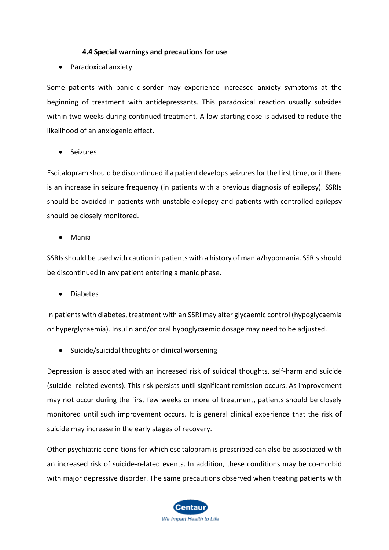## **4.4 Special warnings and precautions for use**

• Paradoxical anxiety

Some patients with panic disorder may experience increased anxiety symptoms at the beginning of treatment with antidepressants. This paradoxical reaction usually subsides within two weeks during continued treatment. A low starting dose is advised to reduce the likelihood of an anxiogenic effect.

• Seizures

Escitalopram should be discontinued if a patient develops seizures for the first time, or if there is an increase in seizure frequency (in patients with a previous diagnosis of epilepsy). SSRIs should be avoided in patients with unstable epilepsy and patients with controlled epilepsy should be closely monitored.

• Mania

SSRIs should be used with caution in patients with a history of mania/hypomania. SSRIs should be discontinued in any patient entering a manic phase.

• Diabetes

In patients with diabetes, treatment with an SSRI may alter glycaemic control (hypoglycaemia or hyperglycaemia). Insulin and/or oral hypoglycaemic dosage may need to be adjusted.

• Suicide/suicidal thoughts or clinical worsening

Depression is associated with an increased risk of suicidal thoughts, self-harm and suicide (suicide- related events). This risk persists until significant remission occurs. As improvement may not occur during the first few weeks or more of treatment, patients should be closely monitored until such improvement occurs. It is general clinical experience that the risk of suicide may increase in the early stages of recovery.

Other psychiatric conditions for which escitalopram is prescribed can also be associated with an increased risk of suicide-related events. In addition, these conditions may be co-morbid with major depressive disorder. The same precautions observed when treating patients with

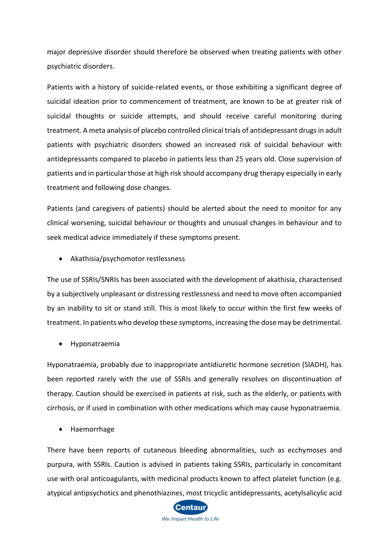major depressive disorder should therefore be observed when treating patients with other psychiatric disorders.

Patients with a history of suicide-related events, or those exhibiting a significant degree of suicidal ideation prior to commencement of treatment, are known to be at greater risk of suicidal thoughts or suicide attempts, and should receive careful monitoring during treatment. A meta analysis of placebo controlled clinical trials of antidepressant drugs in adult patients with psychiatric disorders showed an increased risk of suicidal behaviour with antidepressants compared to placebo in patients less than 25 years old. Close supervision of patients and in particular those at high risk should accompany drug therapy especially in early treatment and following dose changes.

Patients (and caregivers of patients) should be alerted about the need to monitor for any clinical worsening, suicidal behaviour or thoughts and unusual changes in behaviour and to seek medical advice immediately if these symptoms present.

• Akathisia/psychomotor restlessness

The use of SSRIs/SNRIs has been associated with the development of akathisia, characterised by a subjectively unpleasant or distressing restlessness and need to move often accompanied by an inability to sit or stand still. This is most likely to occur within the first few weeks of treatment. In patients who develop these symptoms, increasing the dose may be detrimental.

• Hyponatraemia

Hyponatraemia, probably due to inappropriate antidiuretic hormone secretion (SIADH), has been reported rarely with the use of SSRIs and generally resolves on discontinuation of therapy. Caution should be exercised in patients at risk, such as the elderly, or patients with cirrhosis, or if used in combination with other medications which may cause hyponatraemia.

• Haemorrhage

There have been reports of cutaneous bleeding abnormalities, such as ecchymoses and purpura, with SSRIs. Caution is advised in patients taking SSRIs, particularly in concomitant use with oral anticoagulants, with medicinal products known to affect platelet function (e.g. atypical antipsychotics and phenothiazines, most tricyclic antidepressants, acetylsalicylic acid

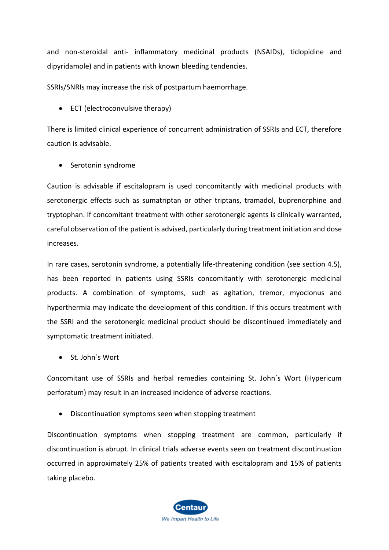and non-steroidal anti- inflammatory medicinal products (NSAIDs), ticlopidine and dipyridamole) and in patients with known bleeding tendencies.

SSRIs/SNRIs may increase the risk of postpartum haemorrhage.

• ECT (electroconvulsive therapy)

There is limited clinical experience of concurrent administration of SSRIs and ECT, therefore caution is advisable.

• Serotonin syndrome

Caution is advisable if escitalopram is used concomitantly with medicinal products with serotonergic effects such as sumatriptan or other triptans, tramadol, buprenorphine and tryptophan. If concomitant treatment with other serotonergic agents is clinically warranted, careful observation of the patient is advised, particularly during treatment initiation and dose increases.

In rare cases, serotonin syndrome, a potentially life-threatening condition (see section 4.5), has been reported in patients using SSRIs concomitantly with serotonergic medicinal products. A combination of symptoms, such as agitation, tremor, myoclonus and hyperthermia may indicate the development of this condition. If this occurs treatment with the SSRI and the serotonergic medicinal product should be discontinued immediately and symptomatic treatment initiated.

• St. John´s Wort

Concomitant use of SSRIs and herbal remedies containing St. John´s Wort (Hypericum perforatum) may result in an increased incidence of adverse reactions.

• Discontinuation symptoms seen when stopping treatment

Discontinuation symptoms when stopping treatment are common, particularly if discontinuation is abrupt. In clinical trials adverse events seen on treatment discontinuation occurred in approximately 25% of patients treated with escitalopram and 15% of patients taking placebo.

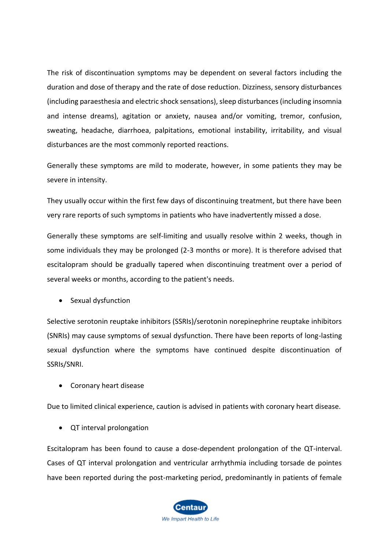The risk of discontinuation symptoms may be dependent on several factors including the duration and dose of therapy and the rate of dose reduction. Dizziness, sensory disturbances (including paraesthesia and electric shock sensations), sleep disturbances (including insomnia and intense dreams), agitation or anxiety, nausea and/or vomiting, tremor, confusion, sweating, headache, diarrhoea, palpitations, emotional instability, irritability, and visual disturbances are the most commonly reported reactions.

Generally these symptoms are mild to moderate, however, in some patients they may be severe in intensity.

They usually occur within the first few days of discontinuing treatment, but there have been very rare reports of such symptoms in patients who have inadvertently missed a dose.

Generally these symptoms are self-limiting and usually resolve within 2 weeks, though in some individuals they may be prolonged (2-3 months or more). It is therefore advised that escitalopram should be gradually tapered when discontinuing treatment over a period of several weeks or months, according to the patient's needs.

• Sexual dysfunction

Selective serotonin reuptake inhibitors (SSRIs)/serotonin norepinephrine reuptake inhibitors (SNRIs) may cause symptoms of sexual dysfunction. There have been reports of long-lasting sexual dysfunction where the symptoms have continued despite discontinuation of SSRIs/SNRI.

• Coronary heart disease

Due to limited clinical experience, caution is advised in patients with coronary heart disease.

• QT interval prolongation

Escitalopram has been found to cause a dose-dependent prolongation of the QT-interval. Cases of QT interval prolongation and ventricular arrhythmia including torsade de pointes have been reported during the post-marketing period, predominantly in patients of female

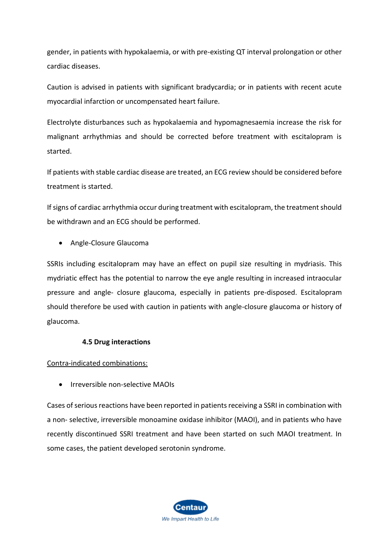gender, in patients with hypokalaemia, or with pre-existing QT interval prolongation or other cardiac diseases.

Caution is advised in patients with significant bradycardia; or in patients with recent acute myocardial infarction or uncompensated heart failure.

Electrolyte disturbances such as hypokalaemia and hypomagnesaemia increase the risk for malignant arrhythmias and should be corrected before treatment with escitalopram is started.

If patients with stable cardiac disease are treated, an ECG review should be considered before treatment is started.

If signs of cardiac arrhythmia occur during treatment with escitalopram, the treatment should be withdrawn and an ECG should be performed.

• Angle-Closure Glaucoma

SSRIs including escitalopram may have an effect on pupil size resulting in mydriasis. This mydriatic effect has the potential to narrow the eye angle resulting in increased intraocular pressure and angle- closure glaucoma, especially in patients pre-disposed. Escitalopram should therefore be used with caution in patients with angle-closure glaucoma or history of glaucoma.

## **4.5 Drug interactions**

Contra-indicated combinations:

• Irreversible non-selective MAOIs

Cases of serious reactions have been reported in patients receiving a SSRI in combination with a non- selective, irreversible monoamine oxidase inhibitor (MAOI), and in patients who have recently discontinued SSRI treatment and have been started on such MAOI treatment. In some cases, the patient developed serotonin syndrome.

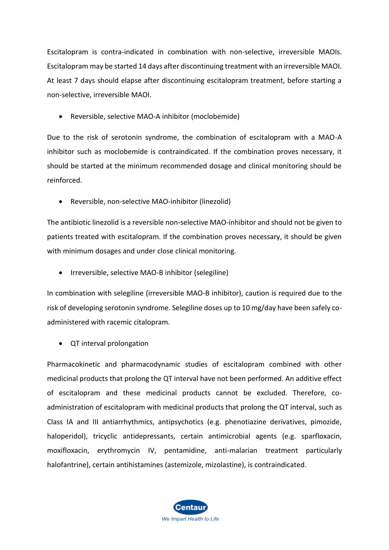Escitalopram is contra-indicated in combination with non-selective, irreversible MAOIs. Escitalopram may be started 14 days after discontinuing treatment with an irreversible MAOI. At least 7 days should elapse after discontinuing escitalopram treatment, before starting a non-selective, irreversible MAOI.

• Reversible, selective MAO-A inhibitor (moclobemide)

Due to the risk of serotonin syndrome, the combination of escitalopram with a MAO-A inhibitor such as moclobemide is contraindicated. If the combination proves necessary, it should be started at the minimum recommended dosage and clinical monitoring should be reinforced.

• Reversible, non-selective MAO-inhibitor (linezolid)

The antibiotic linezolid is a reversible non-selective MAO-inhibitor and should not be given to patients treated with escitalopram. If the combination proves necessary, it should be given with minimum dosages and under close clinical monitoring.

• Irreversible, selective MAO-B inhibitor (selegiline)

In combination with selegiline (irreversible MAO-B inhibitor), caution is required due to the risk of developing serotonin syndrome. Selegiline doses up to 10 mg/day have been safely coadministered with racemic citalopram.

• QT interval prolongation

Pharmacokinetic and pharmacodynamic studies of escitalopram combined with other medicinal products that prolong the QT interval have not been performed. An additive effect of escitalopram and these medicinal products cannot be excluded. Therefore, coadministration of escitalopram with medicinal products that prolong the QT interval, such as Class IA and III antiarrhythmics, antipsychotics (e.g. phenotiazine derivatives, pimozide, haloperidol), tricyclic antidepressants, certain antimicrobial agents (e.g. sparfloxacin, moxifloxacin, erythromycin IV, pentamidine, anti-malarian treatment particularly halofantrine), certain antihistamines (astemizole, mizolastine), is contraindicated.

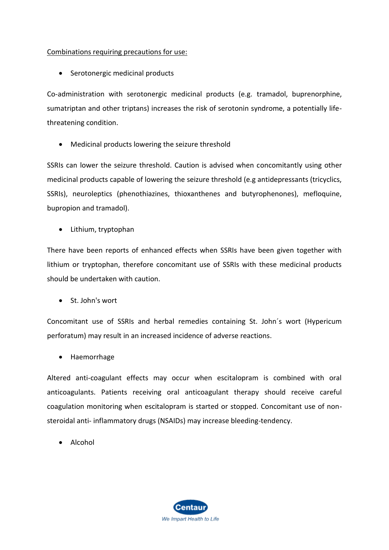## Combinations requiring precautions for use:

• Serotonergic medicinal products

Co-administration with serotonergic medicinal products (e.g. tramadol, buprenorphine, sumatriptan and other triptans) increases the risk of serotonin syndrome, a potentially lifethreatening condition.

• Medicinal products lowering the seizure threshold

SSRIs can lower the seizure threshold. Caution is advised when concomitantly using other medicinal products capable of lowering the seizure threshold (e.g antidepressants (tricyclics, SSRIs), neuroleptics (phenothiazines, thioxanthenes and butyrophenones), mefloquine, bupropion and tramadol).

• Lithium, tryptophan

There have been reports of enhanced effects when SSRIs have been given together with lithium or tryptophan, therefore concomitant use of SSRIs with these medicinal products should be undertaken with caution.

• St. John's wort

Concomitant use of SSRIs and herbal remedies containing St. John´s wort (Hypericum perforatum) may result in an increased incidence of adverse reactions.

• Haemorrhage

Altered anti-coagulant effects may occur when escitalopram is combined with oral anticoagulants. Patients receiving oral anticoagulant therapy should receive careful coagulation monitoring when escitalopram is started or stopped. Concomitant use of nonsteroidal anti- inflammatory drugs (NSAIDs) may increase bleeding-tendency.

• Alcohol

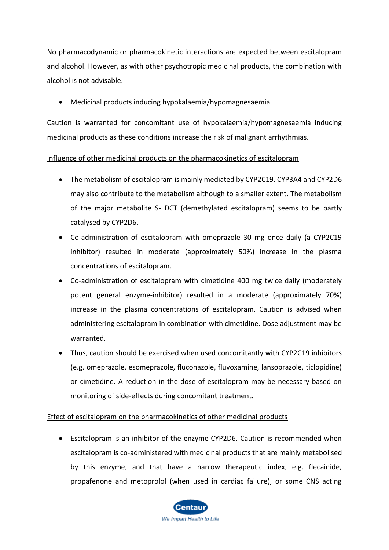No pharmacodynamic or pharmacokinetic interactions are expected between escitalopram and alcohol. However, as with other psychotropic medicinal products, the combination with alcohol is not advisable.

• Medicinal products inducing hypokalaemia/hypomagnesaemia

Caution is warranted for concomitant use of hypokalaemia/hypomagnesaemia inducing medicinal products as these conditions increase the risk of malignant arrhythmias.

## Influence of other medicinal products on the pharmacokinetics of escitalopram

- The metabolism of escitalopram is mainly mediated by CYP2C19. CYP3A4 and CYP2D6 may also contribute to the metabolism although to a smaller extent. The metabolism of the major metabolite S- DCT (demethylated escitalopram) seems to be partly catalysed by CYP2D6.
- Co-administration of escitalopram with omeprazole 30 mg once daily (a CYP2C19 inhibitor) resulted in moderate (approximately 50%) increase in the plasma concentrations of escitalopram.
- Co-administration of escitalopram with cimetidine 400 mg twice daily (moderately potent general enzyme-inhibitor) resulted in a moderate (approximately 70%) increase in the plasma concentrations of escitalopram. Caution is advised when administering escitalopram in combination with cimetidine. Dose adjustment may be warranted.
- Thus, caution should be exercised when used concomitantly with CYP2C19 inhibitors (e.g. omeprazole, esomeprazole, fluconazole, fluvoxamine, lansoprazole, ticlopidine) or cimetidine. A reduction in the dose of escitalopram may be necessary based on monitoring of side-effects during concomitant treatment.

## Effect of escitalopram on the pharmacokinetics of other medicinal products

• Escitalopram is an inhibitor of the enzyme CYP2D6. Caution is recommended when escitalopram is co-administered with medicinal products that are mainly metabolised by this enzyme, and that have a narrow therapeutic index, e.g. flecainide, propafenone and metoprolol (when used in cardiac failure), or some CNS acting

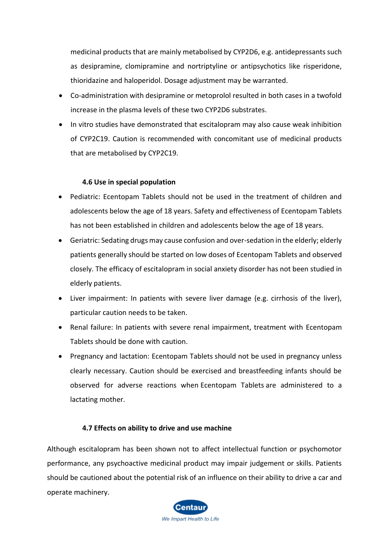medicinal products that are mainly metabolised by CYP2D6, e.g. antidepressants such as desipramine, clomipramine and nortriptyline or antipsychotics like risperidone, thioridazine and haloperidol. Dosage adjustment may be warranted.

- Co-administration with desipramine or metoprolol resulted in both cases in a twofold increase in the plasma levels of these two CYP2D6 substrates.
- In vitro studies have demonstrated that escitalopram may also cause weak inhibition of CYP2C19. Caution is recommended with concomitant use of medicinal products that are metabolised by CYP2C19.

## **4.6 Use in special population**

- Pediatric: Ecentopam Tablets should not be used in the treatment of children and adolescents below the age of 18 years. Safety and effectiveness of Ecentopam Tablets has not been established in children and adolescents below the age of 18 years.
- Geriatric: Sedating drugs may cause confusion and over-sedation in the elderly; elderly patients generally should be started on low doses of Ecentopam Tablets and observed closely. The efficacy of escitalopram in social anxiety disorder has not been studied in elderly patients.
- Liver impairment: In patients with severe liver damage (e.g. cirrhosis of the liver), particular caution needs to be taken.
- Renal failure: In patients with severe renal impairment, treatment with Ecentopam Tablets should be done with caution.
- Pregnancy and lactation: Ecentopam Tablets should not be used in pregnancy unless clearly necessary. Caution should be exercised and breastfeeding infants should be observed for adverse reactions when Ecentopam Tablets are administered to a lactating mother.

## **4.7 Effects on ability to drive and use machine**

Although escitalopram has been shown not to affect intellectual function or psychomotor performance, any psychoactive medicinal product may impair judgement or skills. Patients should be cautioned about the potential risk of an influence on their ability to drive a car and operate machinery.

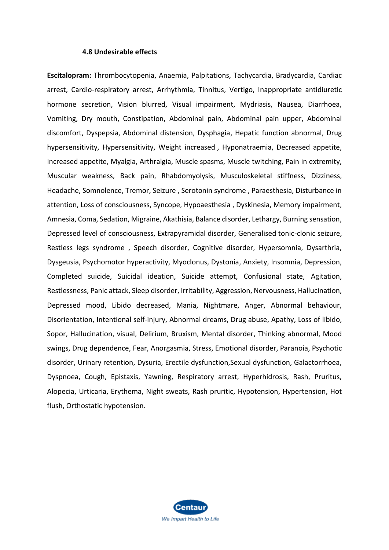#### **4.8 Undesirable effects**

**Escitalopram:** Thrombocytopenia, Anaemia, Palpitations, Tachycardia, Bradycardia, Cardiac arrest, Cardio-respiratory arrest, Arrhythmia, Tinnitus, Vertigo, Inappropriate antidiuretic hormone secretion, Vision blurred, Visual impairment, Mydriasis, Nausea, Diarrhoea, Vomiting, Dry mouth, Constipation, Abdominal pain, Abdominal pain upper, Abdominal discomfort, Dyspepsia, Abdominal distension, Dysphagia, Hepatic function abnormal, Drug hypersensitivity, Hypersensitivity, Weight increased , Hyponatraemia, Decreased appetite, Increased appetite, Myalgia, Arthralgia, Muscle spasms, Muscle twitching, Pain in extremity, Muscular weakness, Back pain, Rhabdomyolysis, Musculoskeletal stiffness, Dizziness, Headache, Somnolence, Tremor, Seizure , Serotonin syndrome , Paraesthesia, Disturbance in attention, Loss of consciousness, Syncope, Hypoaesthesia , Dyskinesia, Memory impairment, Amnesia, Coma, Sedation, Migraine, Akathisia, Balance disorder, Lethargy, Burning sensation, Depressed level of consciousness, Extrapyramidal disorder, Generalised tonic-clonic seizure, Restless legs syndrome , Speech disorder, Cognitive disorder, Hypersomnia, Dysarthria, Dysgeusia, Psychomotor hyperactivity, Myoclonus, Dystonia, Anxiety, Insomnia, Depression, Completed suicide, Suicidal ideation, Suicide attempt, Confusional state, Agitation, Restlessness, Panic attack, Sleep disorder, Irritability, Aggression, Nervousness, Hallucination, Depressed mood, Libido decreased, Mania, Nightmare, Anger, Abnormal behaviour, Disorientation, Intentional self-injury, Abnormal dreams, Drug abuse, Apathy, Loss of libido, Sopor, Hallucination, visual, Delirium, Bruxism, Mental disorder, Thinking abnormal, Mood swings, Drug dependence, Fear, Anorgasmia, Stress, Emotional disorder, Paranoia, Psychotic disorder, Urinary retention, Dysuria, Erectile dysfunction,Sexual dysfunction, Galactorrhoea, Dyspnoea, Cough, Epistaxis, Yawning, Respiratory arrest, Hyperhidrosis, Rash, Pruritus, Alopecia, Urticaria, Erythema, Night sweats, Rash pruritic, Hypotension, Hypertension, Hot flush, Orthostatic hypotension.

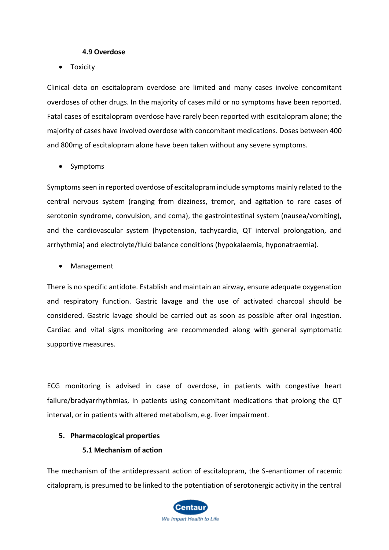#### **4.9 Overdose**

• Toxicity

Clinical data on escitalopram overdose are limited and many cases involve concomitant overdoses of other drugs. In the majority of cases mild or no symptoms have been reported. Fatal cases of escitalopram overdose have rarely been reported with escitalopram alone; the majority of cases have involved overdose with concomitant medications. Doses between 400 and 800mg of escitalopram alone have been taken without any severe symptoms.

• Symptoms

Symptoms seen in reported overdose of escitalopram include symptoms mainly related to the central nervous system (ranging from dizziness, tremor, and agitation to rare cases of serotonin syndrome, convulsion, and coma), the gastrointestinal system (nausea/vomiting), and the cardiovascular system (hypotension, tachycardia, QT interval prolongation, and arrhythmia) and electrolyte/fluid balance conditions (hypokalaemia, hyponatraemia).

• Management

There is no specific antidote. Establish and maintain an airway, ensure adequate oxygenation and respiratory function. Gastric lavage and the use of activated charcoal should be considered. Gastric lavage should be carried out as soon as possible after oral ingestion. Cardiac and vital signs monitoring are recommended along with general symptomatic supportive measures.

ECG monitoring is advised in case of overdose, in patients with congestive heart failure/bradyarrhythmias, in patients using concomitant medications that prolong the QT interval, or in patients with altered metabolism, e.g. liver impairment.

## **5. Pharmacological properties**

## **5.1 Mechanism of action**

The mechanism of the antidepressant action of escitalopram, the S-enantiomer of racemic citalopram, is presumed to be linked to the potentiation of serotonergic activity in the central

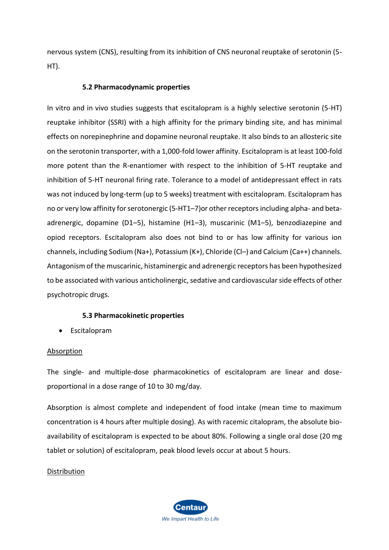nervous system (CNS), resulting from its inhibition of CNS neuronal reuptake of serotonin (5- HT).

#### **5.2 Pharmacodynamic properties**

In vitro and in vivo studies suggests that escitalopram is a highly selective serotonin (5-HT) reuptake inhibitor (SSRI) with a high affinity for the primary binding site, and has minimal effects on norepinephrine and dopamine neuronal reuptake. It also binds to an allosteric site on the serotonin transporter, with a 1,000-fold lower affinity. Escitalopram is at least 100-fold more potent than the R-enantiomer with respect to the inhibition of 5-HT reuptake and inhibition of 5-HT neuronal firing rate. Tolerance to a model of antidepressant effect in rats was not induced by long-term (up to 5 weeks) treatment with escitalopram. Escitalopram has no or very low affinity for serotonergic (5-HT1–7)or other receptors including alpha- and betaadrenergic, dopamine (D1–5), histamine (H1–3), muscarinic (M1–5), benzodiazepine and opiod receptors. Escitalopram also does not bind to or has low affinity for various ion channels, including Sodium (Na+), Potassium (K+), Chloride (Cl–) and Calcium (Ca++) channels. Antagonism of the muscarinic, histaminergic and adrenergic receptors has been hypothesized to be associated with various anticholinergic, sedative and cardiovascular side effects of other psychotropic drugs.

#### **5.3 Pharmacokinetic properties**

• Escitalopram

#### Absorption

The single- and multiple-dose pharmacokinetics of escitalopram are linear and doseproportional in a dose range of 10 to 30 mg/day.

Absorption is almost complete and independent of food intake (mean time to maximum concentration is 4 hours after multiple dosing). As with racemic citalopram, the absolute bioavailability of escitalopram is expected to be about 80%. Following a single oral dose (20 mg tablet or solution) of escitalopram, peak blood levels occur at about 5 hours.

#### **Distribution**

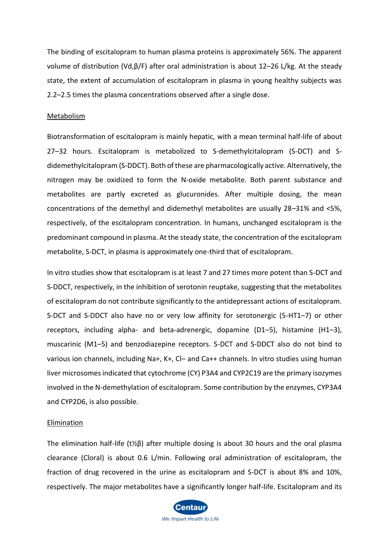The binding of escitalopram to human plasma proteins is approximately 56%. The apparent volume of distribution (Vd,β/F) after oral administration is about 12–26 L/kg. At the steady state, the extent of accumulation of escitalopram in plasma in young healthy subjects was 2.2–2.5 times the plasma concentrations observed after a single dose.

#### **Metabolism**

Biotransformation of escitalopram is mainly hepatic, with a mean terminal half-life of about 27–32 hours. Escitalopram is metabolized to S-demethylcitalopram (S-DCT) and Sdidemethylcitalopram (S-DDCT). Both of these are pharmacologically active. Alternatively, the nitrogen may be oxidized to form the N-oxide metabolite. Both parent substance and metabolites are partly excreted as glucuronides. After multiple dosing, the mean concentrations of the demethyl and didemethyl metabolites are usually 28–31% and <5%, respectively, of the escitalopram concentration. In humans, unchanged escitalopram is the predominant compound in plasma. At the steady state, the concentration of the escitalopram metabolite, S-DCT, in plasma is approximately one-third that of escitalopram.

In vitro studies show that escitalopram is at least 7 and 27 times more potent than S-DCT and S-DDCT, respectively, in the inhibition of serotonin reuptake, suggesting that the metabolites of escitalopram do not contribute significantly to the antidepressant actions of escitalopram. S-DCT and S-DDCT also have no or very low affinity for serotonergic (5-HT1–7) or other receptors, including alpha- and beta-adrenergic, dopamine (D1–5), histamine (H1–3), muscarinic (M1–5) and benzodiazepine receptors. S-DCT and S-DDCT also do not bind to various ion channels, including Na+, K+, Cl– and Ca++ channels. In vitro studies using human liver microsomes indicated that cytochrome (CY) P3A4 and CYP2C19 are the primary isozymes involved in the N-demethylation of escitalopram. Some contribution by the enzymes, CYP3A4 and CYP2D6, is also possible.

#### Elimination

The elimination half-life (t½β) after multiple dosing is about 30 hours and the oral plasma clearance (Cloral) is about 0.6 L/min. Following oral administration of escitalopram, the fraction of drug recovered in the urine as escitalopram and S-DCT is about 8% and 10%, respectively. The major metabolites have a significantly longer half-life. Escitalopram and its

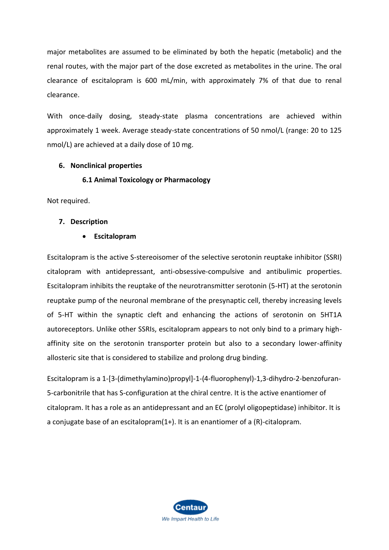major metabolites are assumed to be eliminated by both the hepatic (metabolic) and the renal routes, with the major part of the dose excreted as metabolites in the urine. The oral clearance of escitalopram is 600 mL/min, with approximately 7% of that due to renal clearance.

With once-daily dosing, steady-state plasma concentrations are achieved within approximately 1 week. Average steady-state concentrations of 50 nmol/L (range: 20 to 125 nmol/L) are achieved at a daily dose of 10 mg.

## **6. Nonclinical properties**

## **6.1 Animal Toxicology or Pharmacology**

Not required.

## **7. Description**

## • **Escitalopram**

Escitalopram is the active S-stereoisomer of the selective serotonin reuptake inhibitor (SSRI) citalopram with antidepressant, anti-obsessive-compulsive and antibulimic properties. Escitalopram inhibits the reuptake of the neurotransmitter serotonin (5-HT) at the serotonin reuptake pump of the neuronal membrane of the presynaptic cell, thereby increasing levels of 5-HT within the synaptic cleft and enhancing the actions of serotonin on 5HT1A autoreceptors. Unlike other SSRIs, escitalopram appears to not only bind to a primary highaffinity site on the serotonin transporter protein but also to a secondary lower-affinity allosteric site that is considered to stabilize and prolong drug binding.

Escitalopram is a 1-[3-(dimethylamino)propyl]-1-(4-fluorophenyl)-1,3-dihydro-2-benzofuran-5-carbonitrile that has S-configuration at the chiral centre. It is the active enantiomer of citalopram. It has a role as an antidepressant and an EC (prolyl oligopeptidase) inhibitor. It is a conjugate base of an escitalopram(1+). It is an enantiomer of a (R)-citalopram.

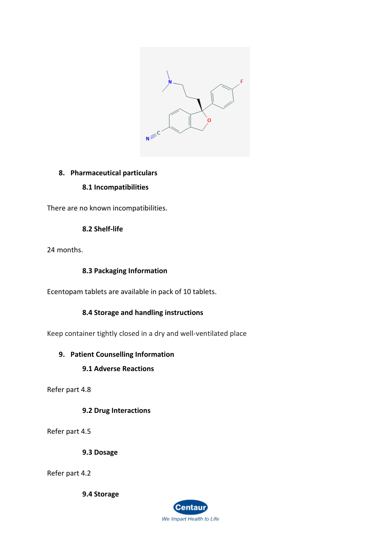

## **8. Pharmaceutical particulars**

## **8.1 Incompatibilities**

There are no known incompatibilities.

## **8.2 Shelf-life**

24 months.

## **8.3 Packaging Information**

Ecentopam tablets are available in pack of 10 tablets.

## **8.4 Storage and handling instructions**

Keep container tightly closed in a dry and well-ventilated place

## **9. Patient Counselling Information**

## **9.1 Adverse Reactions**

Refer part 4.8

**9.2 Drug Interactions**

Refer part 4.5

**9.3 Dosage**

Refer part 4.2

**9.4 Storage**